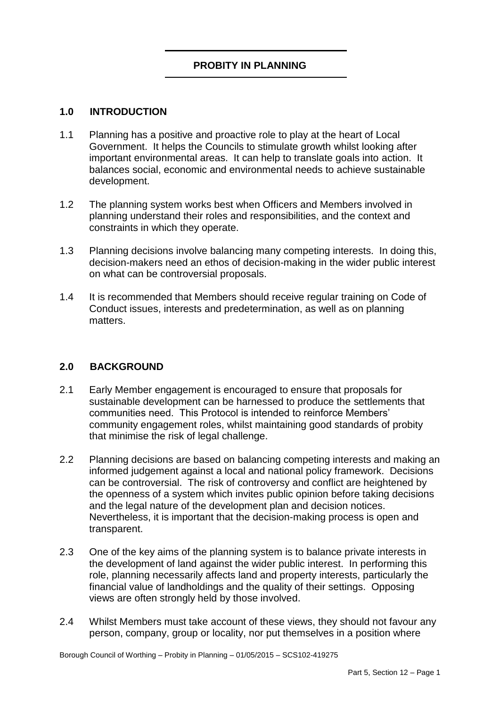#### **1.0 INTRODUCTION**

- Government. It helps the Councils to stimulate growth whilst looking after important environmental areas. It can help to translate goals into action. It 1.1 Planning has a positive and proactive role to play at the heart of Local balances social, economic and environmental needs to achieve sustainable development.
- 1.2 The planning system works best when Officers and Members involved in planning understand their roles and responsibilities, and the context and constraints in which they operate.
- decision-makers need an ethos of decision-making in the wider public interest 1.3 Planning decisions involve balancing many competing interests. In doing this, on what can be controversial proposals.
- 1.4 It is recommended that Members should receive regular training on Code of Conduct issues, interests and predetermination, as well as on planning matters.

#### **2.0 BACKGROUND**

- 2.1 Early Member engagement is encouraged to ensure that proposals for sustainable development can be harnessed to produce the settlements that communities need. This Protocol is intended to reinforce Members' community engagement roles, whilst maintaining good standards of probity that minimise the risk of legal challenge.
- and the legal nature of the development plan and decision notices. 2.2 Planning decisions are based on balancing competing interests and making an informed judgement against a local and national policy framework. Decisions can be controversial. The risk of controversy and conflict are heightened by the openness of a system which invites public opinion before taking decisions Nevertheless, it is important that the decision-making process is open and transparent.
- $2.3$  the development of land against the wider public interest. In performing this 2.3 One of the key aims of the planning system is to balance private interests in role, planning necessarily affects land and property interests, particularly the financial value of landholdings and the quality of their settings. Opposing views are often strongly held by those involved.
- person, company, group or locality, nor put themselves in a position where 2.4 Whilst Members must take account of these views, they should not favour any

Borough Council of Worthing – Probity in Planning – 01/05/2015 – SCS102-419275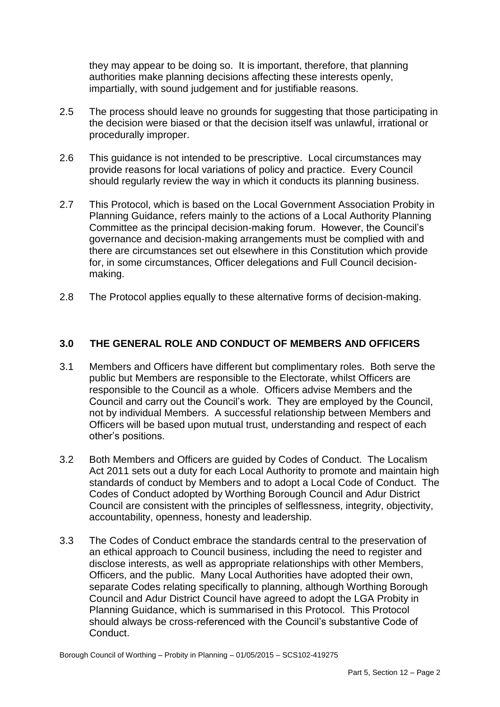they may appear to be doing so. It is important, therefore, that planning authorities make planning decisions affecting these interests openly, impartially, with sound judgement and for justifiable reasons.

- 2.5 The process should leave no grounds for suggesting that those participating in the decision were biased or that the decision itself was unlawful, irrational or procedurally improper.
- 2.6 This guidance is not intended to be prescriptive. Local circumstances may provide reasons for local variations of policy and practice. Every Council should regularly review the way in which it conducts its planning business.
- 2.7 This Protocol, which is based on the Local Government Association Probity in Committee as the principal decision-making forum. However, the Council's governance and decision-making arrangements must be complied with and Planning Guidance, refers mainly to the actions of a Local Authority Planning there are circumstances set out elsewhere in this Constitution which provide for, in some circumstances, Officer delegations and Full Council decisionmaking.
- 2.8 The Protocol applies equally to these alternative forms of decision-making.

### **3.0 THE GENERAL ROLE AND CONDUCT OF MEMBERS AND OFFICERS**

- 3.1 Members and Officers have different but complimentary roles. Both serve the public but Members are responsible to the Electorate, whilst Officers are responsible to the Council as a whole. Officers advise Members and the Council and carry out the Council's work. They are employed by the Council, not by individual Members. A successful relationship between Members and Officers will be based upon mutual trust, understanding and respect of each other's positions.
- standards of conduct by Members and to adopt a Local Code of Conduct. The 3.2 Both Members and Officers are guided by Codes of Conduct. The Localism Act 2011 sets out a duty for each Local Authority to promote and maintain high Codes of Conduct adopted by Worthing Borough Council and Adur District Council are consistent with the principles of selflessness, integrity, objectivity, accountability, openness, honesty and leadership.
- 3.3 The Codes of Conduct embrace the standards central to the preservation of an ethical approach to Council business, including the need to register and separate Codes relating specifically to planning, although Worthing Borough Council and Adur District Council have agreed to adopt the LGA Probity in should always be cross-referenced with the Council's substantive Code of disclose interests, as well as appropriate relationships with other Members, Officers, and the public. Many Local Authorities have adopted their own, Planning Guidance, which is summarised in this Protocol. This Protocol Conduct.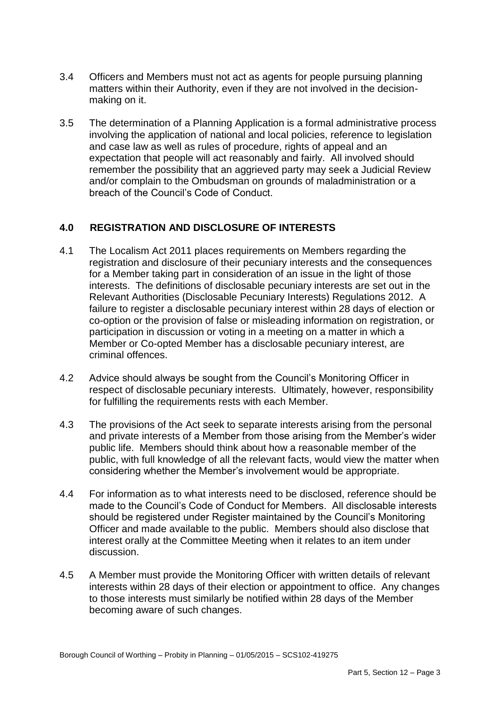- 3.4 Officers and Members must not act as agents for people pursuing planning matters within their Authority, even if they are not involved in the decisionmaking on it.
- 3.5 The determination of a Planning Application is a formal administrative process and case law as well as rules of procedure, rights of appeal and an and/or complain to the Ombudsman on grounds of maladministration or a involving the application of national and local policies, reference to legislation expectation that people will act reasonably and fairly. All involved should remember the possibility that an aggrieved party may seek a Judicial Review breach of the Council's Code of Conduct.

### **4.0 REGISTRATION AND DISCLOSURE OF INTERESTS**

- registration and disclosure of their pecuniary interests and the consequences for a Member taking part in consideration of an issue in the light of those 4.1 The Localism Act 2011 places requirements on Members regarding the interests. The definitions of disclosable pecuniary interests are set out in the Relevant Authorities (Disclosable Pecuniary Interests) Regulations 2012. A failure to register a disclosable pecuniary interest within 28 days of election or co-option or the provision of false or misleading information on registration, or participation in discussion or voting in a meeting on a matter in which a Member or Co-opted Member has a disclosable pecuniary interest, are criminal offences.
- 4.2 Advice should always be sought from the Council's Monitoring Officer in respect of disclosable pecuniary interests. Ultimately, however, responsibility for fulfilling the requirements rests with each Member.
- 4.3 The provisions of the Act seek to separate interests arising from the personal and private interests of a Member from those arising from the Member's wider public life. Members should think about how a reasonable member of the public, with full knowledge of all the relevant facts, would view the matter when considering whether the Member's involvement would be appropriate.
- 4.4 For information as to what interests need to be disclosed, reference should be made to the Council's Code of Conduct for Members. All disclosable interests should be registered under Register maintained by the Council's Monitoring Officer and made available to the public. Members should also disclose that interest orally at the Committee Meeting when it relates to an item under discussion.
- 4.5 A Member must provide the Monitoring Officer with written details of relevant interests within 28 days of their election or appointment to office. Any changes to those interests must similarly be notified within 28 days of the Member becoming aware of such changes.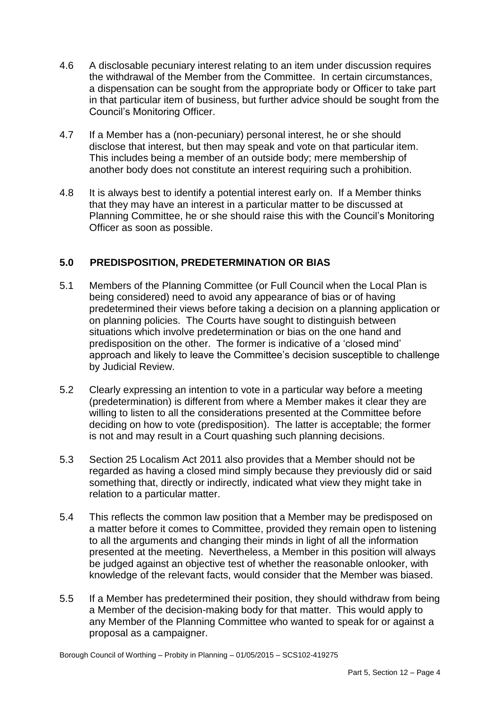- 4.6 A disclosable pecuniary interest relating to an item under discussion requires a dispensation can be sought from the appropriate body or Officer to take part the withdrawal of the Member from the Committee. In certain circumstances, in that particular item of business, but further advice should be sought from the Council's Monitoring Officer.
- This includes being a member of an outside body; mere membership of 4.7 If a Member has a (non-pecuniary) personal interest, he or she should disclose that interest, but then may speak and vote on that particular item. another body does not constitute an interest requiring such a prohibition.
- 4.8 It is always best to identify a potential interest early on. If a Member thinks that they may have an interest in a particular matter to be discussed at Planning Committee, he or she should raise this with the Council's Monitoring Officer as soon as possible.

# **5.0 PREDISPOSITION, PREDETERMINATION OR BIAS**

- on planning policies. The Courts have sought to distinguish between situations which involve predetermination or bias on the one hand and predisposition on the other. The former is indicative of a 'closed mind' 5.1 Members of the Planning Committee (or Full Council when the Local Plan is being considered) need to avoid any appearance of bias or of having predetermined their views before taking a decision on a planning application or approach and likely to leave the Committee's decision susceptible to challenge by Judicial Review.
- 5.2 Clearly expressing an intention to vote in a particular way before a meeting willing to listen to all the considerations presented at the Committee before (predetermination) is different from where a Member makes it clear they are deciding on how to vote (predisposition). The latter is acceptable; the former is not and may result in a Court quashing such planning decisions.
- 5.3 Section 25 Localism Act 2011 also provides that a Member should not be regarded as having a closed mind simply because they previously did or said something that, directly or indirectly, indicated what view they might take in relation to a particular matter.
- presented at the meeting. Nevertheless, a Member in this position will always 5.4 This reflects the common law position that a Member may be predisposed on a matter before it comes to Committee, provided they remain open to listening to all the arguments and changing their minds in light of all the information be judged against an objective test of whether the reasonable onlooker, with knowledge of the relevant facts, would consider that the Member was biased.
- 5.5 If a Member has predetermined their position, they should withdraw from being a Member of the decision-making body for that matter. This would apply to any Member of the Planning Committee who wanted to speak for or against a proposal as a campaigner.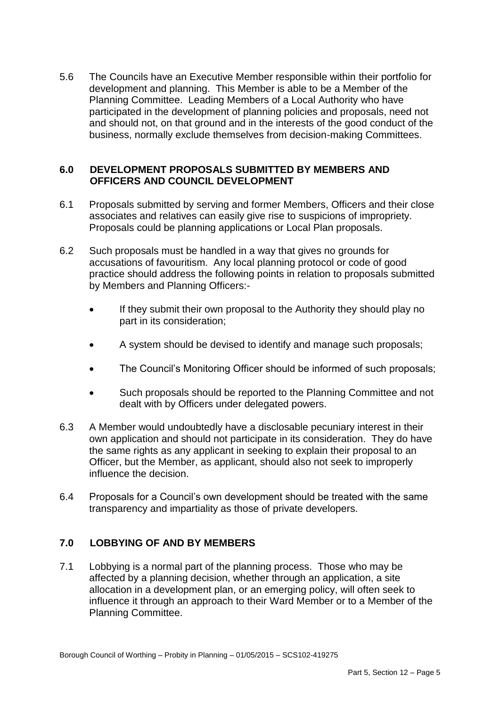development and planning. This Member is able to be a Member of the Planning Committee. Leading Members of a Local Authority who have and should not, on that ground and in the interests of the good conduct of the 5.6 The Councils have an Executive Member responsible within their portfolio for participated in the development of planning policies and proposals, need not business, normally exclude themselves from decision-making Committees.

#### **6.0 DEVELOPMENT PROPOSALS SUBMITTED BY MEMBERS AND OFFICERS AND COUNCIL DEVELOPMENT**

- 6.1 Proposals submitted by serving and former Members, Officers and their close associates and relatives can easily give rise to suspicions of impropriety. Proposals could be planning applications or Local Plan proposals.
- $6.2$ Such proposals must be handled in a way that gives no grounds for accusations of favouritism. Any local planning protocol or code of good practice should address the following points in relation to proposals submitted by Members and Planning Officers:-
	- If they submit their own proposal to the Authority they should play no part in its consideration;
	- A system should be devised to identify and manage such proposals;
	- The Council's Monitoring Officer should be informed of such proposals;
	- Such proposals should be reported to the Planning Committee and not dealt with by Officers under delegated powers.
- own application and should not participate in its consideration. They do have 6.3 A Member would undoubtedly have a disclosable pecuniary interest in their the same rights as any applicant in seeking to explain their proposal to an Officer, but the Member, as applicant, should also not seek to improperly influence the decision.
- 6.4 Proposals for a Council's own development should be treated with the same transparency and impartiality as those of private developers.

# **7.0 LOBBYING OF AND BY MEMBERS**

 7.1 Lobbying is a normal part of the planning process. Those who may be influence it through an approach to their Ward Member or to a Member of the affected by a planning decision, whether through an application, a site allocation in a development plan, or an emerging policy, will often seek to Planning Committee.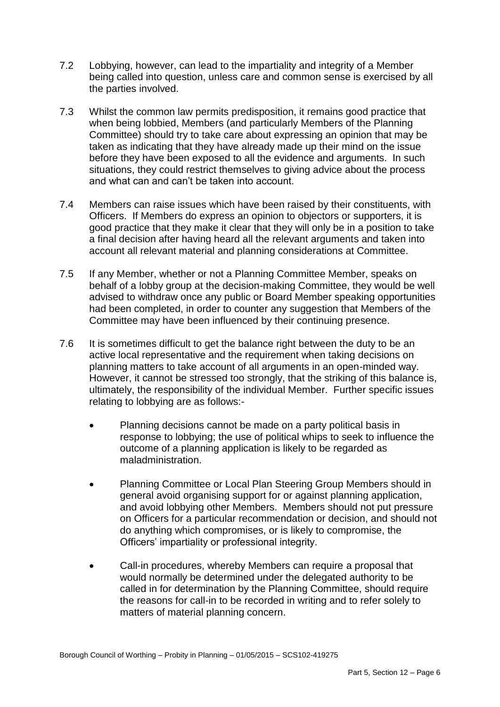- 7.2 Lobbying, however, can lead to the impartiality and integrity of a Member being called into question, unless care and common sense is exercised by all the parties involved.
- before they have been exposed to all the evidence and arguments. In such 7.3 Whilst the common law permits predisposition, it remains good practice that when being lobbied, Members (and particularly Members of the Planning Committee) should try to take care about expressing an opinion that may be taken as indicating that they have already made up their mind on the issue situations, they could restrict themselves to giving advice about the process and what can and can't be taken into account.
- good practice that they make it clear that they will only be in a position to take 7.4 Members can raise issues which have been raised by their constituents, with Officers. If Members do express an opinion to objectors or supporters, it is a final decision after having heard all the relevant arguments and taken into account all relevant material and planning considerations at Committee.
- 7.5 If any Member, whether or not a Planning Committee Member, speaks on behalf of a lobby group at the decision-making Committee, they would be well advised to withdraw once any public or Board Member speaking opportunities had been completed, in order to counter any suggestion that Members of the Committee may have been influenced by their continuing presence.
- 7.6 It is sometimes difficult to get the balance right between the duty to be an active local representative and the requirement when taking decisions on planning matters to take account of all arguments in an open-minded way. However, it cannot be stressed too strongly, that the striking of this balance is, ultimately, the responsibility of the individual Member. Further specific issues relating to lobbying are as follows:-
	- Planning decisions cannot be made on a party political basis in response to lobbying; the use of political whips to seek to influence the outcome of a planning application is likely to be regarded as maladministration.
	- Planning Committee or Local Plan Steering Group Members should in general avoid organising support for or against planning application, and avoid lobbying other Members. Members should not put pressure on Officers for a particular recommendation or decision, and should not do anything which compromises, or is likely to compromise, the Officers' impartiality or professional integrity.
	- Call-in procedures, whereby Members can require a proposal that would normally be determined under the delegated authority to be called in for determination by the Planning Committee, should require the reasons for call-in to be recorded in writing and to refer solely to matters of material planning concern.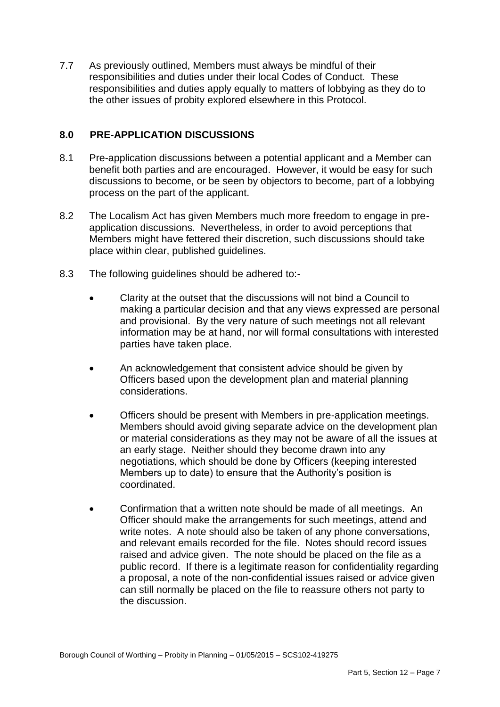7.7 As previously outlined, Members must always be mindful of their responsibilities and duties under their local Codes of Conduct. These responsibilities and duties apply equally to matters of lobbying as they do to the other issues of probity explored elsewhere in this Protocol.

### **8.0 PRE-APPLICATION DISCUSSIONS**

- 8.1 Pre-application discussions between a potential applicant and a Member can benefit both parties and are encouraged. However, it would be easy for such discussions to become, or be seen by objectors to become, part of a lobbying process on the part of the applicant.
- 8.2 The Localism Act has given Members much more freedom to engage in preapplication discussions. Nevertheless, in order to avoid perceptions that Members might have fettered their discretion, such discussions should take place within clear, published guidelines.
- 8.3 The following guidelines should be adhered to:-
	- information may be at hand, nor will formal consultations with interested Clarity at the outset that the discussions will not bind a Council to making a particular decision and that any views expressed are personal and provisional. By the very nature of such meetings not all relevant parties have taken place.
	- An acknowledgement that consistent advice should be given by Officers based upon the development plan and material planning considerations.
	- Members up to date) to ensure that the Authority's position is Officers should be present with Members in pre-application meetings. Members should avoid giving separate advice on the development plan or material considerations as they may not be aware of all the issues at an early stage. Neither should they become drawn into any negotiations, which should be done by Officers (keeping interested coordinated.
	- Confirmation that a written note should be made of all meetings. An Officer should make the arrangements for such meetings, attend and write notes. A note should also be taken of any phone conversations, and relevant emails recorded for the file. Notes should record issues raised and advice given. The note should be placed on the file as a can still normally be placed on the file to reassure others not party to public record. If there is a legitimate reason for confidentiality regarding a proposal, a note of the non-confidential issues raised or advice given the discussion.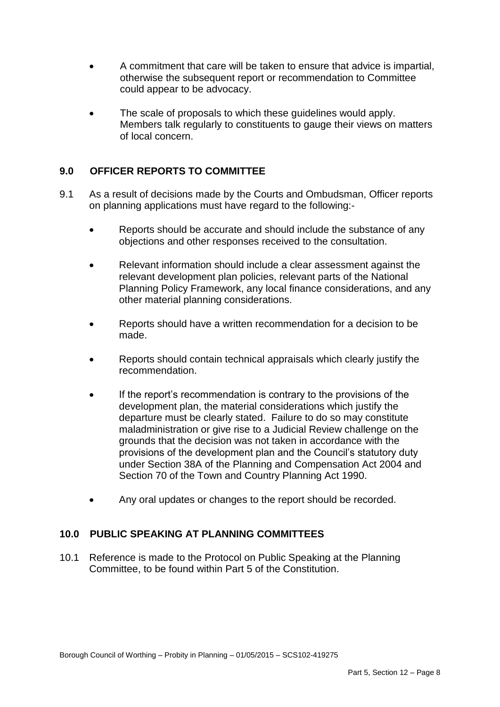- A commitment that care will be taken to ensure that advice is impartial, otherwise the subsequent report or recommendation to Committee could appear to be advocacy.
- The scale of proposals to which these guidelines would apply. Members talk regularly to constituents to gauge their views on matters of local concern.

# **9.0 OFFICER REPORTS TO COMMITTEE**

- 9.1 As a result of decisions made by the Courts and Ombudsman, Officer reports on planning applications must have regard to the following:-
	- Reports should be accurate and should include the substance of any objections and other responses received to the consultation.
	- Planning Policy Framework, any local finance considerations, and any Relevant information should include a clear assessment against the relevant development plan policies, relevant parts of the National other material planning considerations.
	- Reports should have a written recommendation for a decision to be made.
	- Reports should contain technical appraisals which clearly justify the recommendation.
	- departure must be clearly stated. Failure to do so may constitute Section 70 of the Town and Country Planning Act 1990. If the report's recommendation is contrary to the provisions of the development plan, the material considerations which justify the maladministration or give rise to a Judicial Review challenge on the grounds that the decision was not taken in accordance with the provisions of the development plan and the Council's statutory duty under Section 38A of the Planning and Compensation Act 2004 and
	- Any oral updates or changes to the report should be recorded.

#### **10.0 PUBLIC SPEAKING AT PLANNING COMMITTEES**

10.1 Reference is made to the Protocol on Public Speaking at the Planning Committee, to be found within Part 5 of the Constitution.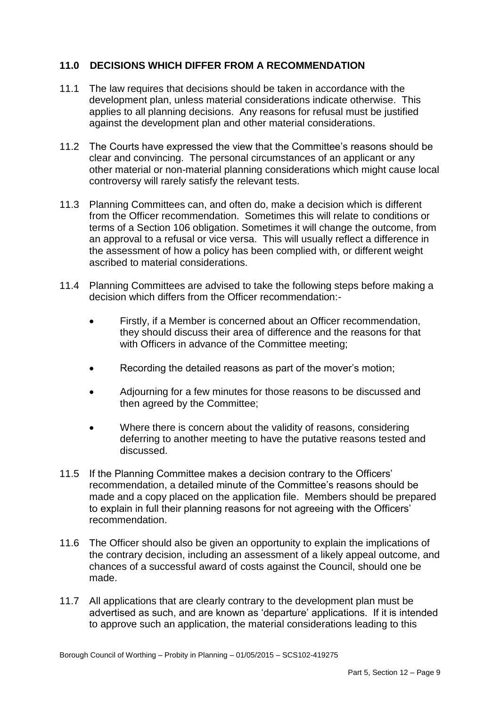### **11.0 DECISIONS WHICH DIFFER FROM A RECOMMENDATION**

- 11.1 The law requires that decisions should be taken in accordance with the applies to all planning decisions. Any reasons for refusal must be justified development plan, unless material considerations indicate otherwise. This against the development plan and other material considerations.
- clear and convincing. The personal circumstances of an applicant or any controversy will rarely satisfy the relevant tests. 11.2 The Courts have expressed the view that the Committee's reasons should be other material or non-material planning considerations which might cause local
- 11.3 Planning Committees can, and often do, make a decision which is different an approval to a refusal or vice versa. This will usually reflect a difference in from the Officer recommendation. Sometimes this will relate to conditions or terms of a Section 106 obligation. Sometimes it will change the outcome, from the assessment of how a policy has been complied with, or different weight ascribed to material considerations.
- 11.4 Planning Committees are advised to take the following steps before making a decision which differs from the Officer recommendation:-
	- they should discuss their area of difference and the reasons for that with Officers in advance of the Committee meeting; Firstly, if a Member is concerned about an Officer recommendation,
	- Recording the detailed reasons as part of the mover's motion;
	- Adjourning for a few minutes for those reasons to be discussed and then agreed by the Committee;
	- Where there is concern about the validity of reasons, considering deferring to another meeting to have the putative reasons tested and discussed.
- 11.5 If the Planning Committee makes a decision contrary to the Officers' made and a copy placed on the application file. Members should be prepared recommendation, a detailed minute of the Committee's reasons should be to explain in full their planning reasons for not agreeing with the Officers' recommendation.
- chances of a successful award of costs against the Council, should one be 11.6 The Officer should also be given an opportunity to explain the implications of the contrary decision, including an assessment of a likely appeal outcome, and made.
- 11.7 All applications that are clearly contrary to the development plan must be advertised as such, and are known as 'departure' applications. If it is intended to approve such an application, the material considerations leading to this